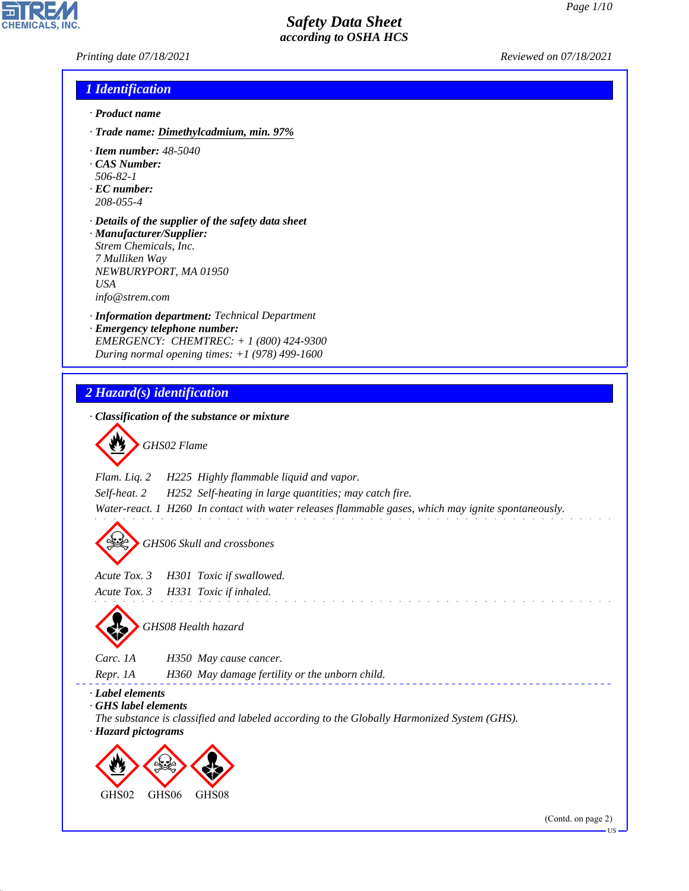*Printing date 07/18/2021 Reviewed on 07/18/2021*

**CHEMICALS** 

### *1 Identification*

- *· Product name*
- *· Trade name: Dimethylcadmium, min. 97%*
- *· Item number: 48-5040*
- *· CAS Number:*
- *506-82-1*
- *· EC number: 208-055-4*
- *· Details of the supplier of the safety data sheet · Manufacturer/Supplier: Strem Chemicals, Inc. 7 Mulliken Way NEWBURYPORT, MA 01950*
- *USA*

44.1.1

*info@strem.com*

- *· Information department: Technical Department*
- *· Emergency telephone number: EMERGENCY: CHEMTREC: + 1 (800) 424-9300 During normal opening times: +1 (978) 499-1600*
- *2 Hazard(s) identification · Classification of the substance or mixture* d~*GHS02 Flame Flam. Liq. 2 H225 Highly flammable liquid and vapor. Self-heat. 2 H252 Self-heating in large quantities; may catch fire. Water-react. 1 H260 In contact with water releases flammable gases, which may ignite spontaneously.* d~*GHS06 Skull and crossbones Acute Tox. 3 H301 Toxic if swallowed. Acute Tox. 3 H331 Toxic if inhaled.*  $\mathcal{L}^{\mathcal{A}}$  . The set of the set of the set of the set of the set of the set of the set of the set of the set of the set of the set of the set of the set of the set of the set of the set of the set of the set of the s d~*GHS08 Health hazard Carc. 1A H350 May cause cancer. Repr. 1A H360 May damage fertility or the unborn child. · Label elements · GHS label elements The substance is classified and labeled according to the Globally Harmonized System (GHS). · Hazard pictograms* < **design**  $\Leftrightarrow$ GHS<sub>02</sub> GHS06 GHS08

**TIS**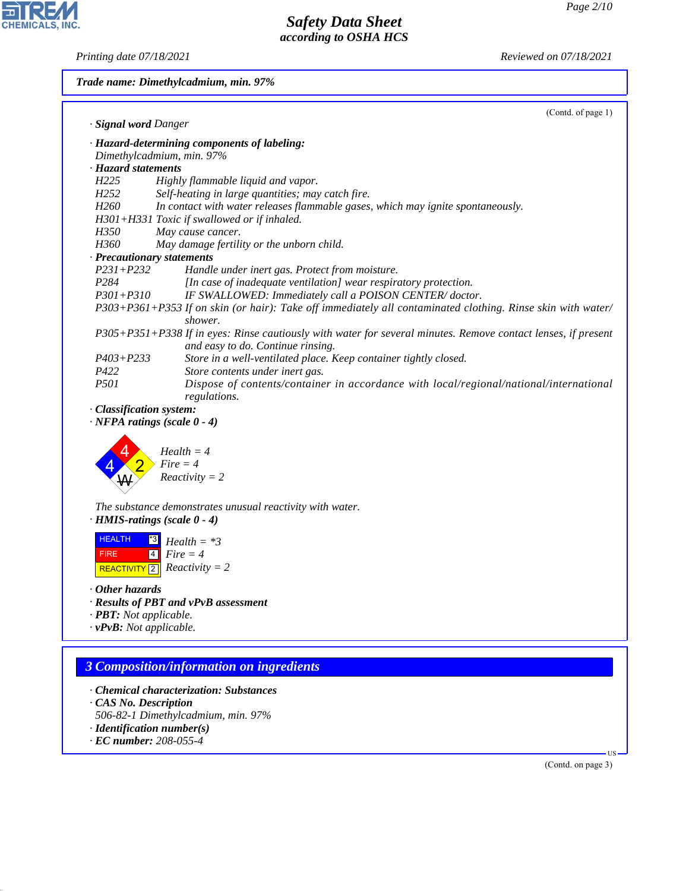피

**CHEMICALS, INC.** 

*Printing date 07/18/2021 Reviewed on 07/18/2021*

| Trade name: Dimethylcadmium, min. 97% |                                                                                                                                                    |  |  |
|---------------------------------------|----------------------------------------------------------------------------------------------------------------------------------------------------|--|--|
|                                       | (Contd. of page 1)                                                                                                                                 |  |  |
| · Signal word Danger                  |                                                                                                                                                    |  |  |
|                                       | · Hazard-determining components of labeling:                                                                                                       |  |  |
|                                       | Dimethylcadmium, min. 97%                                                                                                                          |  |  |
| · Hazard statements                   |                                                                                                                                                    |  |  |
| H <sub>225</sub>                      | Highly flammable liquid and vapor.                                                                                                                 |  |  |
| H <sub>252</sub>                      | Self-heating in large quantities; may catch fire.                                                                                                  |  |  |
| H <sub>260</sub>                      | In contact with water releases flammable gases, which may ignite spontaneously.                                                                    |  |  |
|                                       | H301+H331 Toxic if swallowed or if inhaled.                                                                                                        |  |  |
| H350                                  | May cause cancer.                                                                                                                                  |  |  |
| H360                                  | May damage fertility or the unborn child.                                                                                                          |  |  |
|                                       | · Precautionary statements                                                                                                                         |  |  |
| $P231 + P232$                         | Handle under inert gas. Protect from moisture.                                                                                                     |  |  |
| P284                                  | [In case of inadequate ventilation] wear respiratory protection.                                                                                   |  |  |
| $P301 + P310$                         | IF SWALLOWED: Immediately call a POISON CENTER/doctor.                                                                                             |  |  |
|                                       | P303+P361+P353 If on skin (or hair): Take off immediately all contaminated clothing. Rinse skin with water/<br>shower.                             |  |  |
|                                       | P305+P351+P338 If in eyes: Rinse cautiously with water for several minutes. Remove contact lenses, if present<br>and easy to do. Continue rinsing. |  |  |
| $P403 + P233$                         | Store in a well-ventilated place. Keep container tightly closed.                                                                                   |  |  |
| P422                                  | Store contents under inert gas.                                                                                                                    |  |  |
| <i>P501</i>                           | Dispose of contents/container in accordance with local/regional/national/international<br>regulations.                                             |  |  |
| · Classification system:              |                                                                                                                                                    |  |  |
|                                       | $\cdot$ NFPA ratings (scale $0 - 4$ )                                                                                                              |  |  |
|                                       |                                                                                                                                                    |  |  |
|                                       | $Health = 4$                                                                                                                                       |  |  |
|                                       | $Fire = 4$                                                                                                                                         |  |  |
|                                       | $Reactivity = 2$                                                                                                                                   |  |  |
|                                       |                                                                                                                                                    |  |  |
|                                       | The substance demonstrates unusual reactivity with water.                                                                                          |  |  |
|                                       | $\cdot$ HMIS-ratings (scale $0 - 4$ )                                                                                                              |  |  |
|                                       |                                                                                                                                                    |  |  |
| <b>HEALTH</b>                         | $ ^{*3} $<br>$Health = *3$                                                                                                                         |  |  |
| <b>FIRE</b>                           | $Fire = 4$<br>$\overline{4}$                                                                                                                       |  |  |
|                                       | REACTIVITY 2 Reactivity = 2                                                                                                                        |  |  |

*· Other hazards*

- *· Results of PBT and vPvB assessment*
- *· PBT: Not applicable.*
- *· vPvB: Not applicable.*

# *3 Composition/information on ingredients*

- *· Chemical characterization: Substances*
- *· CAS No. Description*
- *506-82-1 Dimethylcadmium, min. 97%*
- *· Identification number(s)*
- *· EC number: 208-055-4*

44.1.1

(Contd. on page 3)

US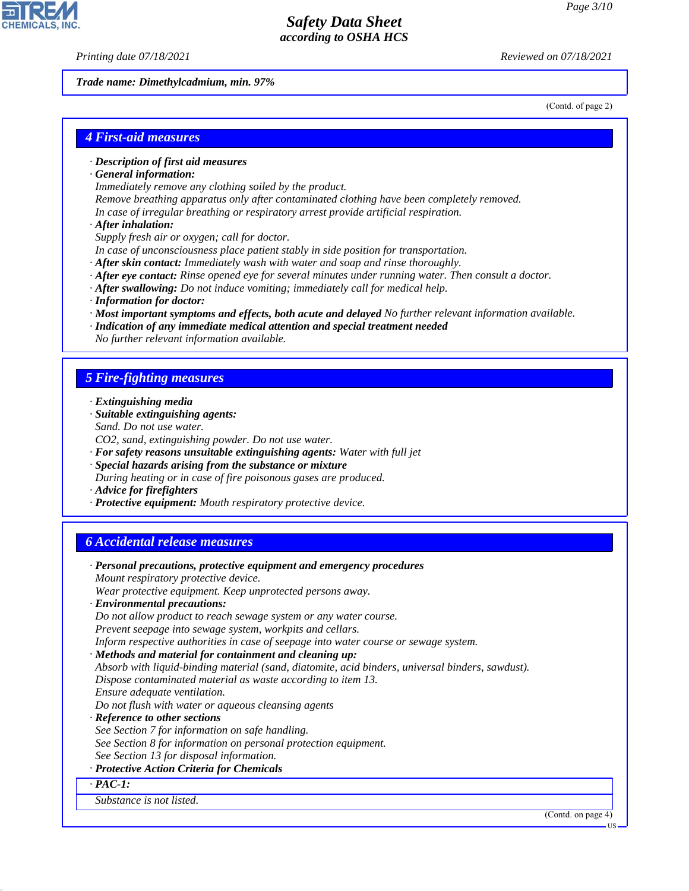*Printing date 07/18/2021 Reviewed on 07/18/2021*

*Trade name: Dimethylcadmium, min. 97%*

(Contd. of page 2)

### *4 First-aid measures*

- *· Description of first aid measures*
- *· General information:*
- *Immediately remove any clothing soiled by the product.*
- *Remove breathing apparatus only after contaminated clothing have been completely removed.*
- *In case of irregular breathing or respiratory arrest provide artificial respiration.*
- *· After inhalation:*
- *Supply fresh air or oxygen; call for doctor.*
- *In case of unconsciousness place patient stably in side position for transportation.*
- *· After skin contact: Immediately wash with water and soap and rinse thoroughly.*
- *· After eye contact: Rinse opened eye for several minutes under running water. Then consult a doctor.*
- *· After swallowing: Do not induce vomiting; immediately call for medical help.*
- *· Information for doctor:*
- *· Most important symptoms and effects, both acute and delayed No further relevant information available.*
- *· Indication of any immediate medical attention and special treatment needed*
- *No further relevant information available.*

### *5 Fire-fighting measures*

- *· Extinguishing media*
- *· Suitable extinguishing agents:*
- *Sand. Do not use water.*
- *CO2, sand, extinguishing powder. Do not use water.*
- *· For safety reasons unsuitable extinguishing agents: Water with full jet*
- *· Special hazards arising from the substance or mixture*
- *During heating or in case of fire poisonous gases are produced.*
- *· Advice for firefighters*

44.1.1

*· Protective equipment: Mouth respiratory protective device.*

#### *6 Accidental release measures*

| · Personal precautions, protective equipment and emergency procedures                            |  |
|--------------------------------------------------------------------------------------------------|--|
| Mount respiratory protective device.                                                             |  |
| Wear protective equipment. Keep unprotected persons away.                                        |  |
| · Environmental precautions:                                                                     |  |
| Do not allow product to reach sewage system or any water course.                                 |  |
| Prevent seepage into sewage system, workpits and cellars.                                        |  |
| Inform respective authorities in case of seepage into water course or sewage system.             |  |
| · Methods and material for containment and cleaning up:                                          |  |
| Absorb with liquid-binding material (sand, diatomite, acid binders, universal binders, sawdust). |  |
| Dispose contaminated material as waste according to item 13.                                     |  |
| Ensure adequate ventilation.                                                                     |  |
| Do not flush with water or aqueous cleansing agents                                              |  |
| · Reference to other sections                                                                    |  |
| See Section 7 for information on safe handling.                                                  |  |
| See Section 8 for information on personal protection equipment.                                  |  |
| See Section 13 for disposal information.                                                         |  |
| · Protective Action Criteria for Chemicals                                                       |  |
| $\cdot$ PAC-1:                                                                                   |  |
| Substance is not listed.                                                                         |  |

US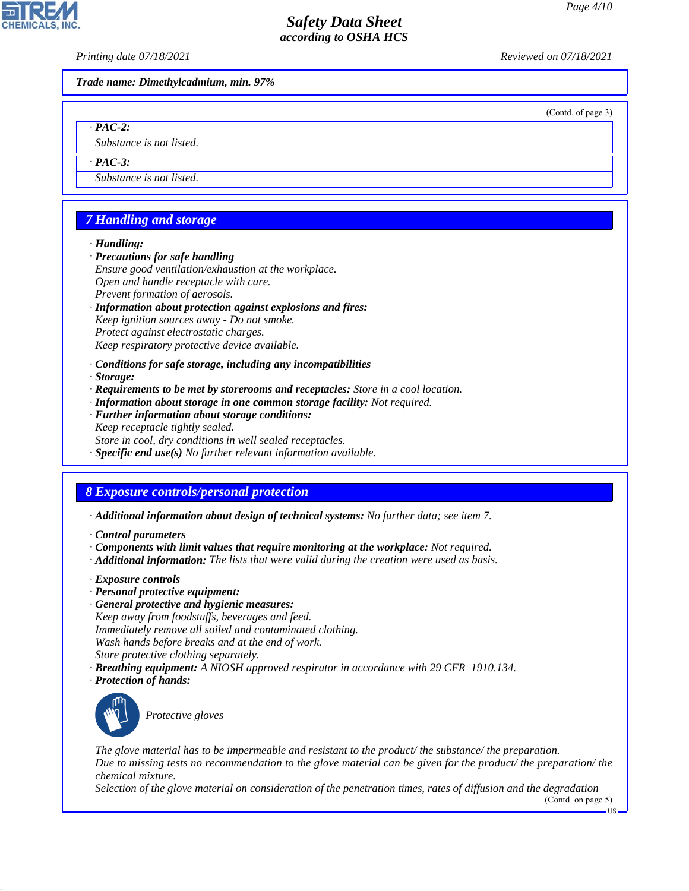*Printing date 07/18/2021 Reviewed on 07/18/2021*

*Trade name: Dimethylcadmium, min. 97%*

(Contd. of page 3)

*· PAC-2:*

*Substance is not listed.*

*· PAC-3:*

*Substance is not listed.*

# *7 Handling and storage*

*· Handling:*

- *· Precautions for safe handling*
- *Ensure good ventilation/exhaustion at the workplace. Open and handle receptacle with care. Prevent formation of aerosols. · Information about protection against explosions and fires:*

*Keep ignition sources away - Do not smoke. Protect against electrostatic charges.*

*Keep respiratory protective device available.*

*· Conditions for safe storage, including any incompatibilities*

*· Storage:*

- *· Requirements to be met by storerooms and receptacles: Store in a cool location.*
- *· Information about storage in one common storage facility: Not required.*
- *· Further information about storage conditions: Keep receptacle tightly sealed. Store in cool, dry conditions in well sealed receptacles.*
- *· Specific end use(s) No further relevant information available.*

## *8 Exposure controls/personal protection*

*· Additional information about design of technical systems: No further data; see item 7.*

- *· Control parameters*
- *· Components with limit values that require monitoring at the workplace: Not required.*
- *· Additional information: The lists that were valid during the creation were used as basis.*
- *· Exposure controls*
- *· Personal protective equipment:*
- *· General protective and hygienic measures: Keep away from foodstuffs, beverages and feed. Immediately remove all soiled and contaminated clothing. Wash hands before breaks and at the end of work. Store protective clothing separately.*
- *· Breathing equipment: A NIOSH approved respirator in accordance with 29 CFR 1910.134.*
- *· Protection of hands:*



44.1.1

\_S*Protective gloves*

*The glove material has to be impermeable and resistant to the product/ the substance/ the preparation. Due to missing tests no recommendation to the glove material can be given for the product/ the preparation/ the chemical mixture.*

*Selection of the glove material on consideration of the penetration times, rates of diffusion and the degradation*

(Contd. on page 5)

US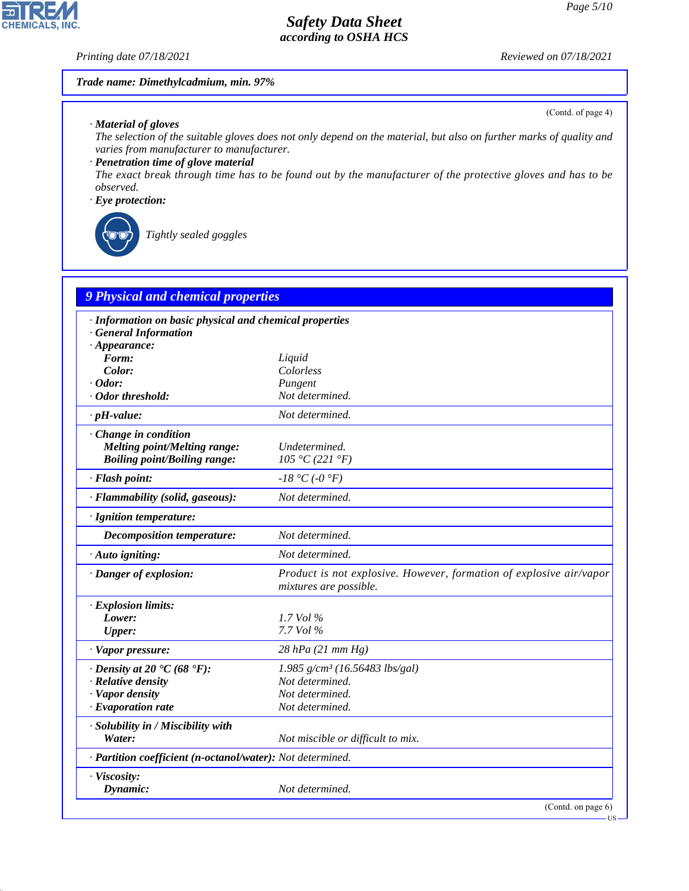(Contd. of page 4)

## *Safety Data Sheet according to OSHA HCS*

*Printing date 07/18/2021 Reviewed on 07/18/2021*

**CHEMICALS, INC.** 

#### *Trade name: Dimethylcadmium, min. 97%*

*· Material of gloves*

*The selection of the suitable gloves does not only depend on the material, but also on further marks of quality and varies from manufacturer to manufacturer.*

*· Penetration time of glove material*

*The exact break through time has to be found out by the manufacturer of the protective gloves and has to be observed.*

*· Eye protection:*



44.1.1

\_R*Tightly sealed goggles*

| 9 Physical and chemical properties                                                                           |                                                                                               |
|--------------------------------------------------------------------------------------------------------------|-----------------------------------------------------------------------------------------------|
| · Information on basic physical and chemical properties<br><b>General Information</b><br>$\cdot$ Appearance: |                                                                                               |
| Form:                                                                                                        | Liquid                                                                                        |
| Color:                                                                                                       | Colorless                                                                                     |
| $\cdot$ Odor:                                                                                                | Pungent                                                                                       |
| · Odor threshold:                                                                                            | Not determined.                                                                               |
| $\cdot$ pH-value:                                                                                            | Not determined.                                                                               |
| Change in condition<br>Melting point/Melting range:<br><b>Boiling point/Boiling range:</b>                   | Undetermined.<br>105 °C (221 °F)                                                              |
| · Flash point:                                                                                               | $-18$ °C ( $-0$ °F)                                                                           |
| · Flammability (solid, gaseous):                                                                             | Not determined.                                                                               |
| · Ignition temperature:                                                                                      |                                                                                               |
| <b>Decomposition temperature:</b>                                                                            | Not determined.                                                                               |
| · Auto igniting:                                                                                             | Not determined.                                                                               |
| · Danger of explosion:                                                                                       | Product is not explosive. However, formation of explosive air/vapor<br>mixtures are possible. |
| · Explosion limits:                                                                                          |                                                                                               |
| Lower:                                                                                                       | $1.7$ Vol $\%$                                                                                |
| <b>Upper:</b>                                                                                                | 7.7 Vol %                                                                                     |
| · Vapor pressure:                                                                                            | 28 hPa (21 mm Hg)                                                                             |
| $\cdot$ Density at 20 $\cdot$ C (68 $\cdot$ F):                                                              | $1.985$ g/cm <sup>3</sup> (16.56483 lbs/gal)                                                  |
| · Relative density                                                                                           | Not determined.                                                                               |
| · Vapor density                                                                                              | Not determined.                                                                               |
| $\cdot$ Evaporation rate                                                                                     | Not determined.                                                                               |
| · Solubility in / Miscibility with<br>Water:                                                                 | Not miscible or difficult to mix.                                                             |
| · Partition coefficient (n-octanol/water): Not determined.                                                   |                                                                                               |
| · Viscosity:<br>Dynamic:                                                                                     | Not determined.                                                                               |
|                                                                                                              | (Contd. on page 6)                                                                            |

US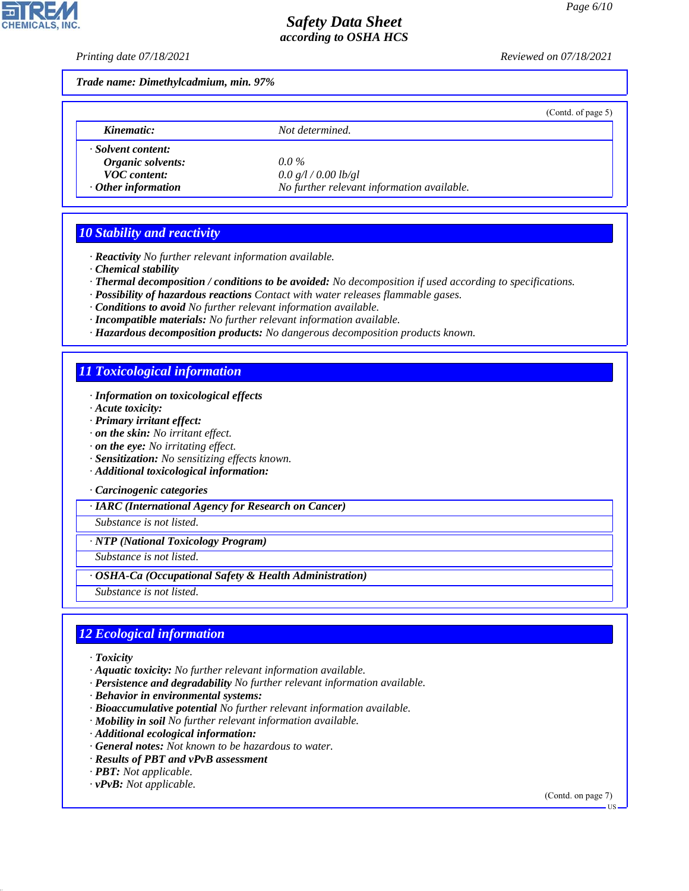**CHEMICALS, INC** 

*Printing date 07/18/2021 Reviewed on 07/18/2021*

*Trade name: Dimethylcadmium, min. 97%*

|                           |                                            | (Contd. of page $5$ ) |
|---------------------------|--------------------------------------------|-----------------------|
| Kinematic:                | Not determined.                            |                       |
| · Solvent content:        |                                            |                       |
| Organic solvents:         | $0.0\%$                                    |                       |
| <b>VOC</b> content:       | 0.0 g/l / 0.00 lb/gl                       |                       |
| $\cdot$ Other information | No further relevant information available. |                       |

### *10 Stability and reactivity*

- *· Reactivity No further relevant information available.*
- *· Chemical stability*
- *· Thermal decomposition / conditions to be avoided: No decomposition if used according to specifications.*
- *· Possibility of hazardous reactions Contact with water releases flammable gases.*
- *· Conditions to avoid No further relevant information available.*
- *· Incompatible materials: No further relevant information available.*
- *· Hazardous decomposition products: No dangerous decomposition products known.*

## *11 Toxicological information*

- *· Information on toxicological effects*
- *· Acute toxicity:*
- *· Primary irritant effect:*
- *· on the skin: No irritant effect.*
- *· on the eye: No irritating effect.*
- *· Sensitization: No sensitizing effects known.*
- *· Additional toxicological information:*
- *· Carcinogenic categories*

*· IARC (International Agency for Research on Cancer)*

*Substance is not listed.*

*· NTP (National Toxicology Program)*

*Substance is not listed.*

- *· OSHA-Ca (Occupational Safety & Health Administration)*
- *Substance is not listed.*

## *12 Ecological information*

*· Toxicity*

44.1.1

- *· Aquatic toxicity: No further relevant information available.*
- *· Persistence and degradability No further relevant information available.*
- *· Behavior in environmental systems:*
- *· Bioaccumulative potential No further relevant information available.*
- *· Mobility in soil No further relevant information available.*
- *· Additional ecological information:*
- *· General notes: Not known to be hazardous to water.*
- *· Results of PBT and vPvB assessment*
- *· PBT: Not applicable.*
- *· vPvB: Not applicable.*

(Contd. on page 7)

US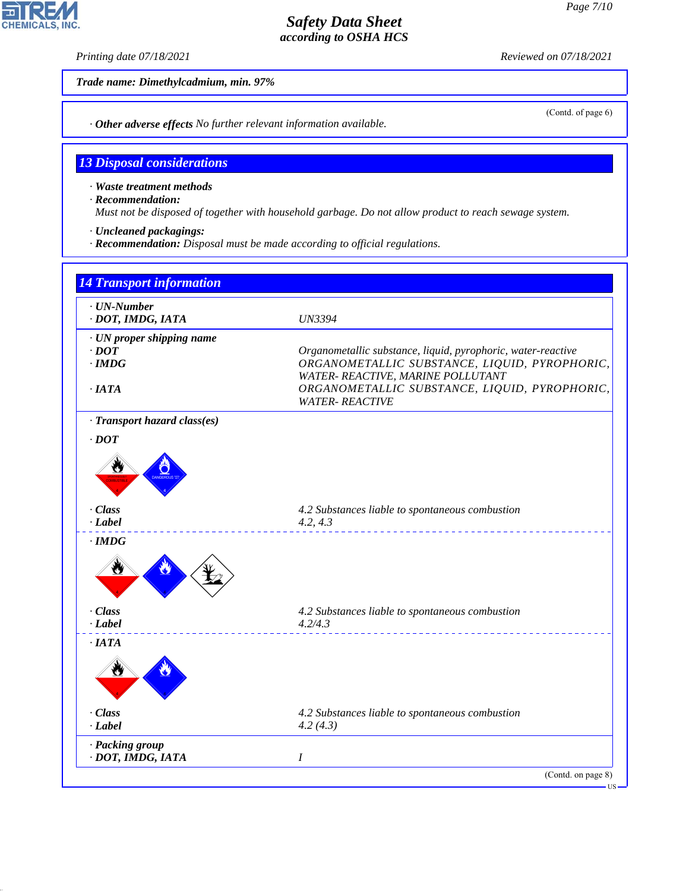*Printing date 07/18/2021 Reviewed on 07/18/2021*

*Trade name: Dimethylcadmium, min. 97%*

*· Other adverse effects No further relevant information available.*

### *13 Disposal considerations*

*· Waste treatment methods*

*· Recommendation:*

*Must not be disposed of together with household garbage. Do not allow product to reach sewage system.*

- *· Uncleaned packagings:*
- *· Recommendation: Disposal must be made according to official regulations.*





44.1.1

(Contd. of page 6)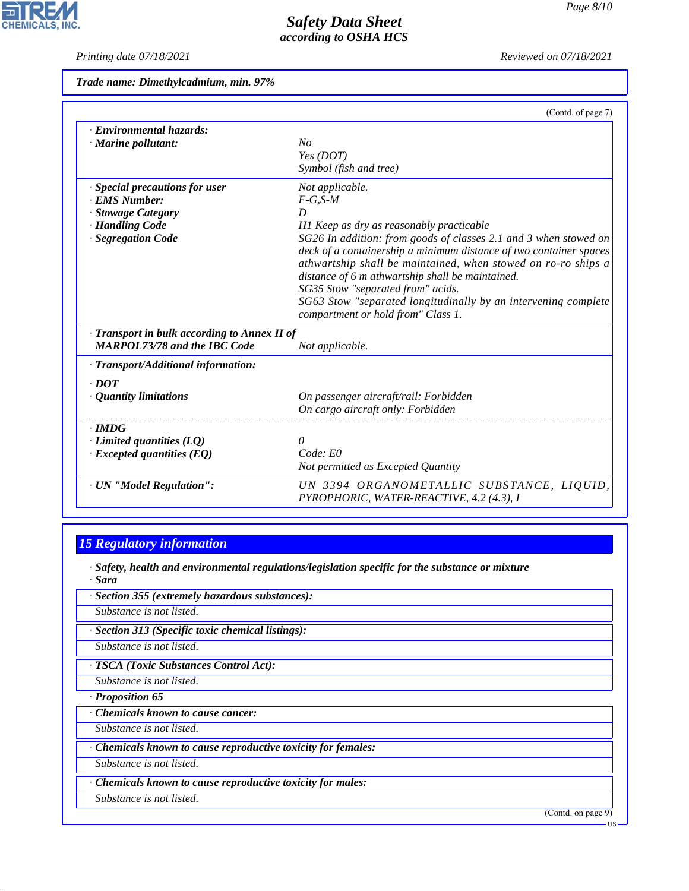$\overline{\mathbf{r}}$ 

**CHEMICALS, INC.** 

*Printing date 07/18/2021 Reviewed on 07/18/2021*

*Trade name: Dimethylcadmium, min. 97%*

|                                                                                                                | (Contd. of page 7)                                                                                                                                                                                                                                                                                                                                                                                                                                                                         |
|----------------------------------------------------------------------------------------------------------------|--------------------------------------------------------------------------------------------------------------------------------------------------------------------------------------------------------------------------------------------------------------------------------------------------------------------------------------------------------------------------------------------------------------------------------------------------------------------------------------------|
| · Environmental hazards:<br>$\cdot$ Marine pollutant:                                                          | No<br>Yes (DOT)<br>Symbol (fish and tree)                                                                                                                                                                                                                                                                                                                                                                                                                                                  |
| · Special precautions for user<br>· EMS Number:<br>· Stowage Category<br>· Handling Code<br>· Segregation Code | Not applicable.<br>$F-G, S-M$<br>D<br>H1 Keep as dry as reasonably practicable<br>SG26 In addition: from goods of classes 2.1 and 3 when stowed on<br>deck of a containership a minimum distance of two container spaces<br>athwartship shall be maintained, when stowed on ro-ro ships a<br>distance of 6 m athwartship shall be maintained.<br>SG35 Stow "separated from" acids.<br>SG63 Stow "separated longitudinally by an intervening complete<br>compartment or hold from" Class 1. |
| · Transport in bulk according to Annex II of<br><b>MARPOL73/78 and the IBC Code</b>                            | Not applicable.                                                                                                                                                                                                                                                                                                                                                                                                                                                                            |
| · Transport/Additional information:<br>$.$ DOT<br>· Quantity limitations                                       | On passenger aircraft/rail: Forbidden<br>On cargo aircraft only: Forbidden                                                                                                                                                                                                                                                                                                                                                                                                                 |
| $\cdot$ IMDG<br>$\cdot$ Limited quantities (LQ)<br>$\cdot$ Excepted quantities (EQ)                            | 0<br>Code: E0<br>Not permitted as Excepted Quantity                                                                                                                                                                                                                                                                                                                                                                                                                                        |
| · UN "Model Regulation":                                                                                       | UN 3394 ORGANOMETALLIC SUBSTANCE, LIQUID,<br>PYROPHORIC, WATER-REACTIVE, 4.2 (4.3), I                                                                                                                                                                                                                                                                                                                                                                                                      |

# *15 Regulatory information*

*· Safety, health and environmental regulations/legislation specific for the substance or mixture · Sara*

*· Section 355 (extremely hazardous substances):*

*Substance is not listed.*

*· Section 313 (Specific toxic chemical listings):*

*Substance is not listed.*

*· TSCA (Toxic Substances Control Act):*

*Substance is not listed.*

*· Proposition 65*

*· Chemicals known to cause cancer:*

*Substance is not listed.*

*· Chemicals known to cause reproductive toxicity for females:*

*Substance is not listed.*

*· Chemicals known to cause reproductive toxicity for males:*

*Substance is not listed.*

44.1.1

(Contd. on page 9)

US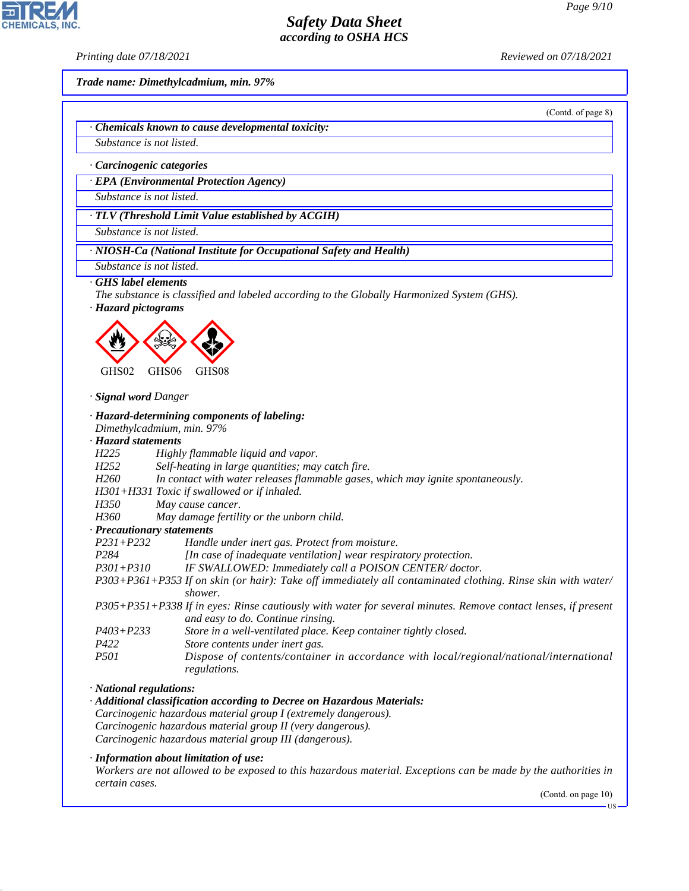*Printing date 07/18/2021 Reviewed on 07/18/2021*

*Trade name: Dimethylcadmium, min. 97%*

(Contd. of page 8)

*· Chemicals known to cause developmental toxicity:*

*Substance is not listed.*

### *· Carcinogenic categories*

*· EPA (Environmental Protection Agency)*

*Substance is not listed.*

*· TLV (Threshold Limit Value established by ACGIH)*

*Substance is not listed.*

*· NIOSH-Ca (National Institute for Occupational Safety and Health)*

*Substance is not listed.*

#### *· GHS label elements*

*The substance is classified and labeled according to the Globally Harmonized System (GHS).*

*· Hazard pictograms*



*· Signal word Danger*

### *· Hazard-determining components of labeling:*

*Dimethylcadmium, min. 97%*

*· Hazard statements*

- *H225 Highly flammable liquid and vapor.*
- *H252 Self-heating in large quantities; may catch fire.*
- *H260 In contact with water releases flammable gases, which may ignite spontaneously.*
- *H301+H331 Toxic if swallowed or if inhaled.*

*H350 May cause cancer.*

*H360 May damage fertility or the unborn child.*

*· Precautionary statements*

*P231+P232 Handle under inert gas. Protect from moisture.*

*P284 [In case of inadequate ventilation] wear respiratory protection.*

- *P301+P310 IF SWALLOWED: Immediately call a POISON CENTER/ doctor.*
- *P303+P361+P353 If on skin (or hair): Take off immediately all contaminated clothing. Rinse skin with water/ shower.*

*P305+P351+P338 If in eyes: Rinse cautiously with water for several minutes. Remove contact lenses, if present and easy to do. Continue rinsing.*

- *P403+P233 Store in a well-ventilated place. Keep container tightly closed.*
- *P422 Store contents under inert gas.*
- *P501 Dispose of contents/container in accordance with local/regional/national/international regulations.*

#### *· National regulations:*

44.1.1

*· Additional classification according to Decree on Hazardous Materials:*

*Carcinogenic hazardous material group I (extremely dangerous). Carcinogenic hazardous material group II (very dangerous).*

*Carcinogenic hazardous material group III (dangerous).*

*· Information about limitation of use:*

*Workers are not allowed to be exposed to this hazardous material. Exceptions can be made by the authorities in certain cases.*

(Contd. on page 10)



**IIS**